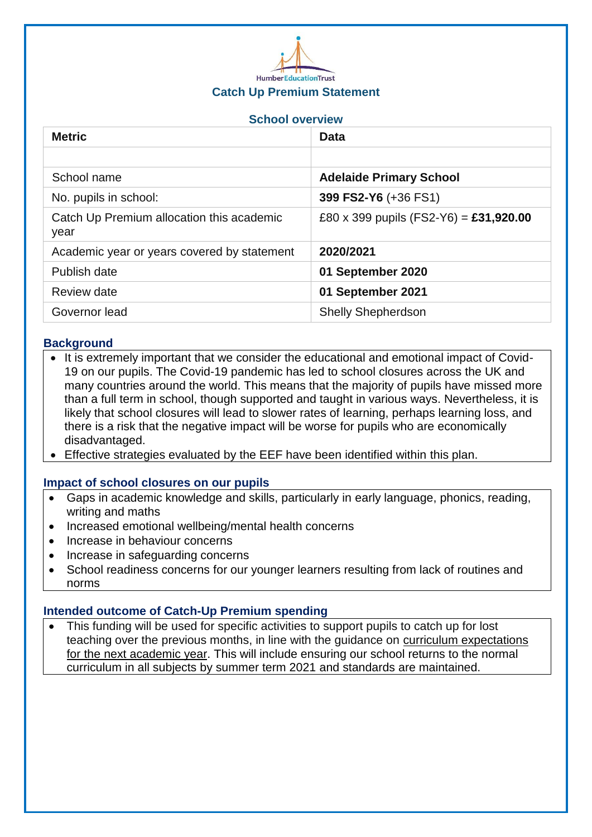

## **Catch Up Premium Statement**

## **School overview**

| <b>Metric</b>                                     | <b>Data</b>                            |
|---------------------------------------------------|----------------------------------------|
|                                                   |                                        |
| School name                                       | <b>Adelaide Primary School</b>         |
| No. pupils in school:                             | 399 FS2-Y6 (+36 FS1)                   |
| Catch Up Premium allocation this academic<br>year | £80 x 399 pupils (FS2-Y6) = £31,920.00 |
| Academic year or years covered by statement       | 2020/2021                              |
| Publish date                                      | 01 September 2020                      |
| Review date                                       | 01 September 2021                      |
| Governor lead                                     | <b>Shelly Shepherdson</b>              |

### **Background**

- It is extremely important that we consider the educational and emotional impact of Covid-19 on our pupils. The Covid-19 pandemic has led to school closures across the UK and many countries around the world. This means that the majority of pupils have missed more than a full term in school, though supported and taught in various ways. Nevertheless, it is likely that school closures will lead to slower rates of learning, perhaps learning loss, and there is a risk that the negative impact will be worse for pupils who are economically disadvantaged.
- Effective strategies evaluated by the EEF have been identified within this plan.

#### **Impact of school closures on our pupils**

- Gaps in academic knowledge and skills, particularly in early language, phonics, reading, writing and maths
- Increased emotional wellbeing/mental health concerns
- Increase in behaviour concerns
- Increase in safeguarding concerns
- School readiness concerns for our younger learners resulting from lack of routines and norms

#### **Intended outcome of Catch-Up Premium spending**

• This funding will be used for specific activities to support pupils to catch up for lost teaching over the previous months, in line with the guidance on curriculum [expectations](https://www.gov.uk/government/publications/actions-for-schools-during-the-coronavirus-outbreak/guidance-for-full-opening-schools#section-3-curriculum-behaviour-and-pastoral-support) for the next [academic](https://www.gov.uk/government/publications/actions-for-schools-during-the-coronavirus-outbreak/guidance-for-full-opening-schools#section-3-curriculum-behaviour-and-pastoral-support) year. This will include ensuring our school returns to the normal curriculum in all subjects by summer term 2021 and standards are maintained.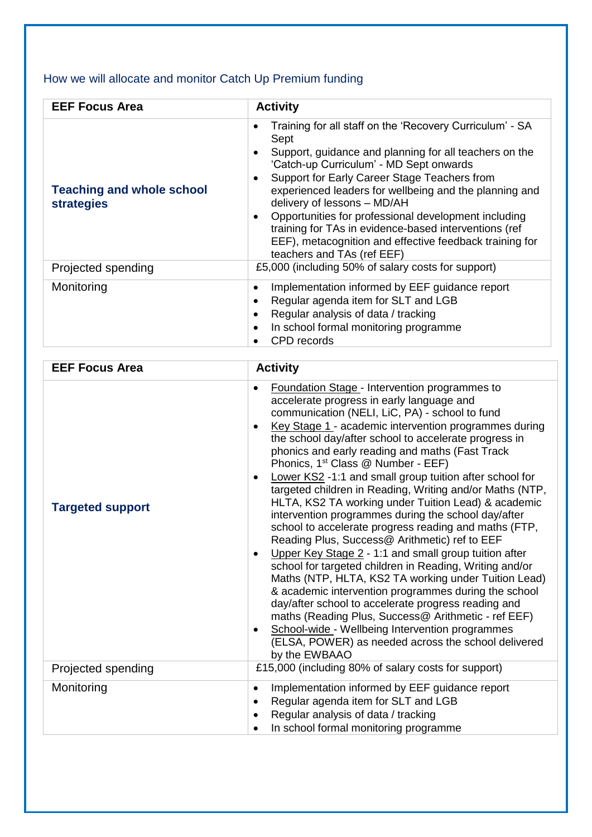# How we will allocate and monitor Catch Up Premium funding

| <b>EEF Focus Area</b>                                 | <b>Activity</b>                                                                                                                                                                                                                                                                                                                                                                                                                                                                                                                    |
|-------------------------------------------------------|------------------------------------------------------------------------------------------------------------------------------------------------------------------------------------------------------------------------------------------------------------------------------------------------------------------------------------------------------------------------------------------------------------------------------------------------------------------------------------------------------------------------------------|
| <b>Teaching and whole school</b><br><b>strategies</b> | Training for all staff on the 'Recovery Curriculum' - SA<br>٠<br>Sept<br>Support, guidance and planning for all teachers on the<br>'Catch-up Curriculum' - MD Sept onwards<br>Support for Early Career Stage Teachers from<br>٠<br>experienced leaders for wellbeing and the planning and<br>delivery of lessons - MD/AH<br>Opportunities for professional development including<br>training for TAs in evidence-based interventions (ref<br>EEF), metacognition and effective feedback training for<br>teachers and TAs (ref EEF) |
| Projected spending                                    | £5,000 (including 50% of salary costs for support)                                                                                                                                                                                                                                                                                                                                                                                                                                                                                 |
| Monitoring                                            | Implementation informed by EEF guidance report<br>٠<br>Regular agenda item for SLT and LGB<br>Regular analysis of data / tracking<br>In school formal monitoring programme<br>CPD records                                                                                                                                                                                                                                                                                                                                          |

| <b>EEF Focus Area</b>   | <b>Activity</b>                                                                                                                                                                                                                                                                                                                                                                                                                                                                                                                                                                                                                                                                                                                                                                                                                                                                                                                                                                                                                                                                                                                                                                                              |
|-------------------------|--------------------------------------------------------------------------------------------------------------------------------------------------------------------------------------------------------------------------------------------------------------------------------------------------------------------------------------------------------------------------------------------------------------------------------------------------------------------------------------------------------------------------------------------------------------------------------------------------------------------------------------------------------------------------------------------------------------------------------------------------------------------------------------------------------------------------------------------------------------------------------------------------------------------------------------------------------------------------------------------------------------------------------------------------------------------------------------------------------------------------------------------------------------------------------------------------------------|
| <b>Targeted support</b> | Foundation Stage - Intervention programmes to<br>$\bullet$<br>accelerate progress in early language and<br>communication (NELI, LiC, PA) - school to fund<br>Key Stage 1 - academic intervention programmes during<br>the school day/after school to accelerate progress in<br>phonics and early reading and maths (Fast Track<br>Phonics, 1 <sup>st</sup> Class @ Number - EEF)<br>Lower KS2 -1:1 and small group tuition after school for<br>targeted children in Reading, Writing and/or Maths (NTP,<br>HLTA, KS2 TA working under Tuition Lead) & academic<br>intervention programmes during the school day/after<br>school to accelerate progress reading and maths (FTP,<br>Reading Plus, Success@ Arithmetic) ref to EEF<br>Upper Key Stage 2 - 1:1 and small group tuition after<br>school for targeted children in Reading, Writing and/or<br>Maths (NTP, HLTA, KS2 TA working under Tuition Lead)<br>& academic intervention programmes during the school<br>day/after school to accelerate progress reading and<br>maths (Reading Plus, Success@ Arithmetic - ref EEF)<br>School-wide - Wellbeing Intervention programmes<br>(ELSA, POWER) as needed across the school delivered<br>by the EWBAAO |
| Projected spending      | £15,000 (including 80% of salary costs for support)                                                                                                                                                                                                                                                                                                                                                                                                                                                                                                                                                                                                                                                                                                                                                                                                                                                                                                                                                                                                                                                                                                                                                          |
| Monitoring              | Implementation informed by EEF guidance report<br>$\bullet$<br>Regular agenda item for SLT and LGB<br>$\bullet$<br>Regular analysis of data / tracking<br>In school formal monitoring programme<br>$\bullet$                                                                                                                                                                                                                                                                                                                                                                                                                                                                                                                                                                                                                                                                                                                                                                                                                                                                                                                                                                                                 |